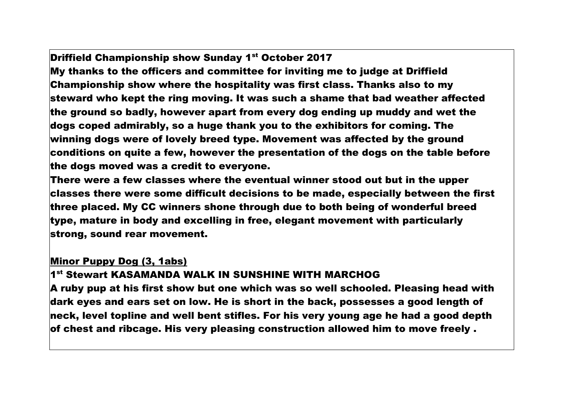## Driffield Championship show Sunday 1<sup>st</sup> October 2017

My thanks to the officers and committee for inviting me to judge at Driffield Championship show where the hospitality was first class. Thanks also to my steward who kept the ring moving. It was such a shame that bad weather affected the ground so badly, however apart from every dog ending up muddy and wet the dogs coped admirably, so a huge thank you to the exhibitors for coming. The winning dogs were of lovely breed type. Movement was affected by the ground conditions on quite a few, however the presentation of the dogs on the table before the dogs moved was a credit to everyone.

There were a few classes where the eventual winner stood out but in the upper classes there were some difficult decisions to be made, especially between the first three placed. My CC winners shone through due to both being of wonderful breed type, mature in body and excelling in free, elegant movement with particularly strong, sound rear movement.

### Minor Puppy Dog (3, 1abs)

## 1 st Stewart KASAMANDA WALK IN SUNSHINE WITH MARCHOG

A ruby pup at his first show but one which was so well schooled. Pleasing head with dark eyes and ears set on low. He is short in the back, possesses a good length of neck, level topline and well bent stifles. For his very young age he had a good depth of chest and ribcage. His very pleasing construction allowed him to move freely .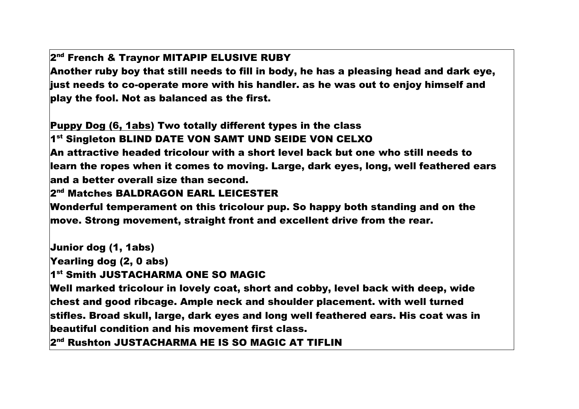## 2<sup>nd</sup> French & Traynor MITAPIP ELUSIVE RUBY

Another ruby boy that still needs to fill in body, he has a pleasing head and dark eye, just needs to co-operate more with his handler. as he was out to enjoy himself and play the fool. Not as balanced as the first.

Puppy Dog (6, 1abs) Two totally different types in the class

1<sup>st</sup> Singleton BLIND DATE VON SAMT UND SEIDE VON CELXO

An attractive headed tricolour with a short level back but one who still needs to learn the ropes when it comes to moving. Large, dark eyes, long, well feathered ears and a better overall size than second.

#### 2<sup>nd</sup> Matches BALDRAGON EARL LEICESTER

Wonderful temperament on this tricolour pup. So happy both standing and on the move. Strong movement, straight front and excellent drive from the rear.

Junior dog (1, 1abs)

Yearling dog (2, 0 abs)

1<sup>st</sup> Smith JUSTACHARMA ONE SO MAGIC

Well marked tricolour in lovely coat, short and cobby, level back with deep, wide chest and good ribcage. Ample neck and shoulder placement. with well turned stifles. Broad skull, large, dark eyes and long well feathered ears. His coat was in beautiful condition and his movement first class.

2<sup>nd</sup> Rushton JUSTACHARMA HE IS SO MAGIC AT TIFLIN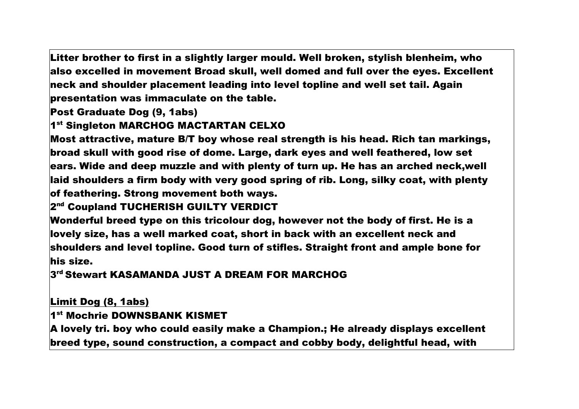Litter brother to first in a slightly larger mould. Well broken, stylish blenheim, who also excelled in movement Broad skull, well domed and full over the eyes. Excellent  $\,$ neck and shoulder placement leading into level topline and well set tail. Again  $\,$ presentation was immaculate on the table.

Post Graduate Dog (9, 1abs)

# 1 st Singleton MARCHOG MACTARTAN CELXO

Most attractive, mature B/T boy whose real strength is his head. Rich tan markings, broad skull with good rise of dome. Large, dark eyes and well feathered, low set ears. Wide and deep muzzle and with plenty of turn up. He has an arched neck,well laid shoulders a firm body with very good spring of rib. Long, silky coat, with plenty of feathering. Strong movement both ways.

2<sup>nd</sup> Coupland TUCHERISH GUILTY VERDICT

Wonderful breed type on this tricolour dog, however not the body of first. He is a lovely size, has a well marked coat, short in back with an excellent neck and shoulders and level topline. Good turn of stifles. Straight front and ample bone for his size.

3 rd Stewart KASAMANDA JUST A DREAM FOR MARCHOG

Limit Dog (8, 1abs)

1st Mochrie DOWNSBANK KISMET

A lovely tri. boy who could easily make a Champion.; He already displays excellent breed type, sound construction, a compact and cobby body, delightful head, with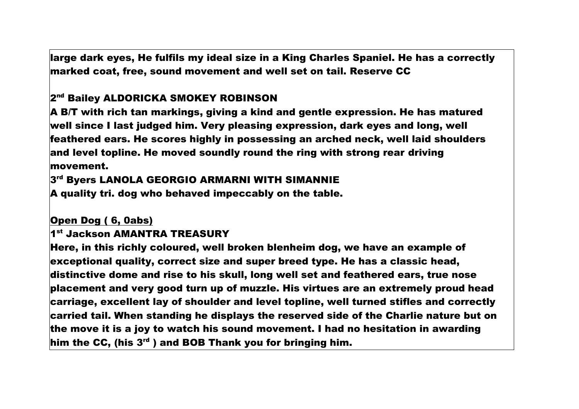large dark eyes, He fulfils my ideal size in a King Charles Spaniel. He has a correctly marked coat, free, sound movement and well set on tail. Reserve CC

# 2<sup>nd</sup> Bailey ALDORICKA SMOKEY ROBINSON

A B/T with rich tan markings, giving a kind and gentle expression. He has matured well since I last judged him. Very pleasing expression, dark eyes and long, well feathered ears. He scores highly in possessing an arched neck, well laid shoulders and level topline. He moved soundly round the ring with strong rear driving movement.

# 3 rd Byers LANOLA GEORGIO ARMARNI WITH SIMANNIE

A quality tri. dog who behaved impeccably on the table.

# Open Dog ( 6, 0abs)

## 1 st Jackson AMANTRA TREASURY

Here, in this richly coloured, well broken blenheim dog, we have an example of exceptional quality, correct size and super breed type. He has a classic head, distinctive dome and rise to his skull, long well set and feathered ears, true nose placement and very good turn up of muzzle. His virtues are an extremely proud head carriage, excellent lay of shoulder and level topline, well turned stifles and correctly carried tail. When standing he displays the reserved side of the Charlie nature but on the move it is a joy to watch his sound movement. I had no hesitation in awarding him the CC, (his  $3<sup>rd</sup>$ ) and BOB Thank you for bringing him.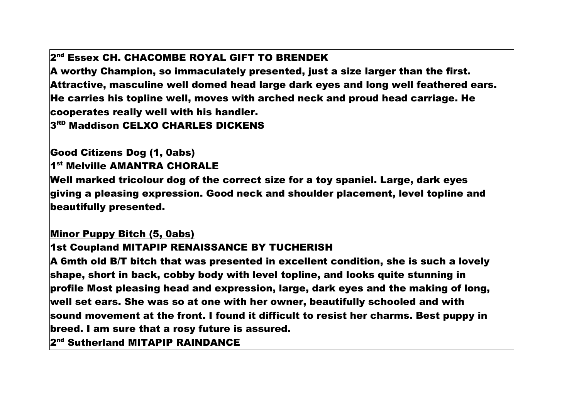## 2<sup>nd</sup> Essex CH. CHACOMBE ROYAL GIFT TO BRENDEK

A worthy Champion, so immaculately presented, just a size larger than the first. Attractive, masculine well domed head large dark eyes and long well feathered ears. He carries his topline well, moves with arched neck and proud head carriage. He cooperates really well with his handler.

3<sup>RD</sup> Maddison CELXO CHARLES DICKENS

## Good Citizens Dog (1, 0abs) 1 st Melville AMANTRA CHORALE

Well marked tricolour dog of the correct size for a toy spaniel. Large, dark eyes giving a pleasing expression. Good neck and shoulder placement, level topline and beautifully presented.

### Minor Puppy Bitch (5, 0abs)

### 1st Coupland MITAPIP RENAISSANCE BY TUCHERISH

A 6mth old B/T bitch that was presented in excellent condition, she is such a lovely shape, short in back, cobby body with level topline, and looks quite stunning in profile Most pleasing head and expression, large, dark eyes and the making of long, well set ears. She was so at one with her owner, beautifully schooled and with sound movement at the front. I found it difficult to resist her charms. Best puppy in breed. I am sure that a rosy future is assured.

2<sup>nd</sup> Sutherland MITAPIP RAINDANCE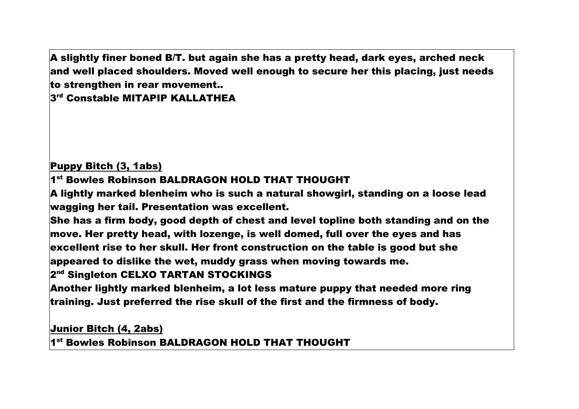A slightly finer boned B/T. but again she has a pretty head, dark eyes, arched neck and well placed shoulders. Moved well enough to secure her this placing, just needs to strengthen in rear movement..

3 rd Constable MITAPIP KALLATHEA

## Puppy Bitch (3, 1abs)

1 st Bowles Robinson BALDRAGON HOLD THAT THOUGHT

A lightly marked blenheim who is such a natural showgirl, standing on a loose lead wagging her tail. Presentation was excellent.

She has a firm body, good depth of chest and level topline both standing and on the move. Her pretty head, with lozenge, is well domed, full over the eyes and has excellent rise to her skull. Her front construction on the table is good but she appeared to dislike the wet, muddy grass when moving towards me.

# 2<sup>nd</sup> Singleton CELXO TARTAN STOCKINGS

Another lightly marked blenheim, a lot less mature puppy that needed more ring training. Just preferred the rise skull of the first and the firmness of body.

## Junior Bitch (4, 2abs)

1 st Bowles Robinson BALDRAGON HOLD THAT THOUGHT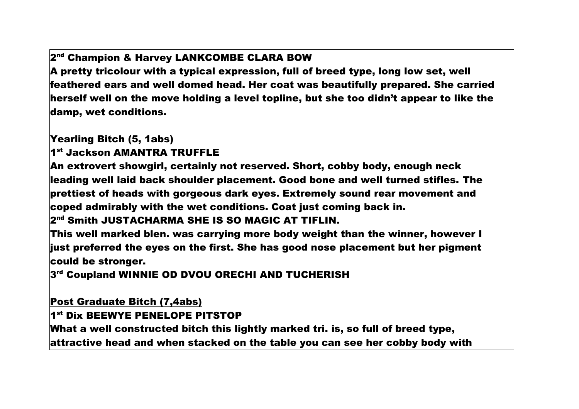# 2<sup>nd</sup> Champion & Harvey LANKCOMBE CLARA BOW

A pretty tricolour with a typical expression, full of breed type, long low set, well feathered ears and well domed head. Her coat was beautifully prepared. She carried herself well on the move holding a level topline, but she too didn't appear to like the damp, wet conditions.

Yearling Bitch (5, 1abs)

1<sup>st</sup> Jackson AMANTRA TRUFFLE

An extrovert showgirl, certainly not reserved. Short, cobby body, enough neck leading well laid back shoulder placement. Good bone and well turned stifles. The prettiest of heads with gorgeous dark eyes. Extremely sound rear movement and coped admirably with the wet conditions. Coat just coming back in.

2<sup>nd</sup> Smith JUSTACHARMA SHE IS SO MAGIC AT TIFLIN.

This well marked blen. was carrying more body weight than the winner, however I just preferred the eyes on the first. She has good nose placement but her pigment could be stronger.

3 rd Coupland WINNIE OD DVOU ORECHI AND TUCHERISH

Post Graduate Bitch (7,4abs)

#### 1 st Dix BEEWYE PENELOPE PITSTOP

What a well constructed bitch this lightly marked tri. is, so full of breed type, attractive head and when stacked on the table you can see her cobby body with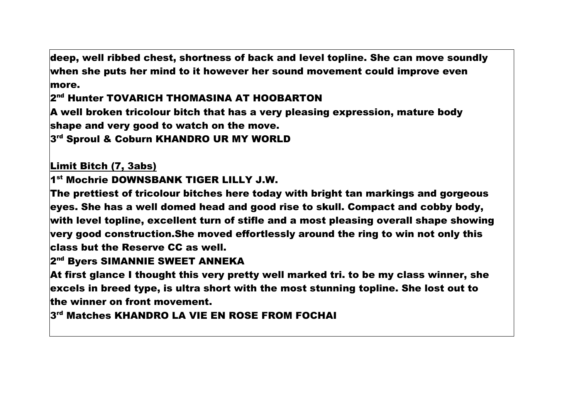deep, well ribbed chest, shortness of back and level topline. She can move soundly when she puts her mind to it however her sound movement could improve even more.

2<sup>nd</sup> Hunter TOVARICH THOMASINA AT HOOBARTON

A well broken tricolour bitch that has a very pleasing expression, mature body shape and very good to watch on the move.

3 rd Sproul & Coburn KHANDRO UR MY WORLD

Limit Bitch (7, 3abs)

1 st Mochrie DOWNSBANK TIGER LILLY J.W.

The prettiest of tricolour bitches here today with bright tan markings and gorgeous eyes. She has a well domed head and good rise to skull. Compact and cobby body, with level topline, excellent turn of stifle and a most pleasing overall shape showing very good construction.She moved effortlessly around the ring to win not only this class but the Reserve CC as well.

### 2<sup>nd</sup> Byers SIMANNIE SWEET ANNEKA

At first glance I thought this very pretty well marked tri. to be my class winner, she excels in breed type, is ultra short with the most stunning topline. She lost out to the winner on front movement.

3 rd Matches KHANDRO LA VIE EN ROSE FROM FOCHAI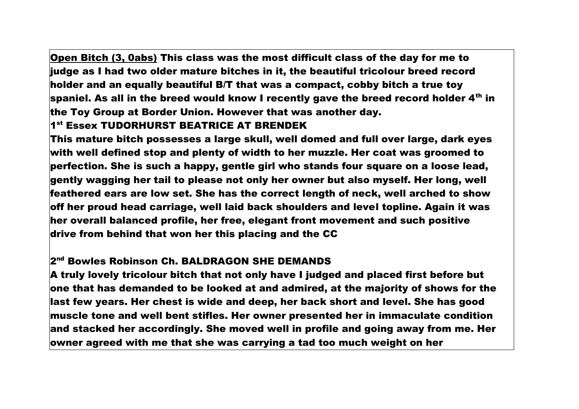Open Bitch (3, 0abs) This class was the most difficult class of the day for me to judge as I had two older mature bitches in it, the beautiful tricolour breed record holder and an equally beautiful B/T that was a compact, cobby bitch a true toy spaniel. As all in the breed would know I recently gave the breed record holder 4<sup>th</sup> in the Toy Group at Border Union. However that was another day.

#### 1 st Essex TUDORHURST BEATRICE AT BRENDEK

This mature bitch possesses a large skull, well domed and full over large, dark eyes with well defined stop and plenty of width to her muzzle. Her coat was groomed to perfection. She is such a happy, gentle girl who stands four square on a loose lead, gently wagging her tail to please not only her owner but also myself. Her long, well feathered ears are low set. She has the correct length of neck, well arched to show off her proud head carriage, well laid back shoulders and level topline. Again it was her overall balanced profile, her free, elegant front movement and such positive drive from behind that won her this placing and the CC

### 2<sup>nd</sup> Bowles Robinson Ch. BALDRAGON SHE DEMANDS

A truly lovely tricolour bitch that not only have I judged and placed first before but one that has demanded to be looked at and admired, at the majority of shows for the last few years. Her chest is wide and deep, her back short and level. She has good muscle tone and well bent stifles. Her owner presented her in immaculate condition and stacked her accordingly. She moved well in profile and going away from me. Her owner agreed with me that she was carrying a tad too much weight on her